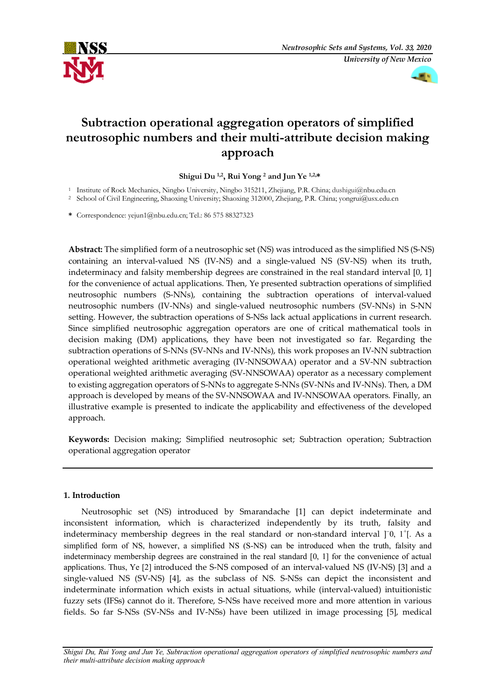



# **Subtraction operational aggregation operators of simplified neutrosophic numbers and their multi-attribute decision making approach**

# **Shigui Du 1,2 , Rui Yong <sup>2</sup> and Jun Ye 1,2,\***

<sup>1</sup> Institute of Rock Mechanics, Ningbo University, Ningbo 315211, Zhejiang, P.R. China; dushigui@nbu.edu.cn

<sup>2</sup> School of Civil Engineering, Shaoxing University; Shaoxing 312000, Zhejiang, P.R. China; yongrui@usx.edu.cn

**\*** Correspondence: yejun1@nbu.edu.cn; Tel.: 86 575 88327323

**Abstract:** The simplified form of a neutrosophic set (NS) was introduced as the simplified NS (S-NS) containing an interval-valued NS (IV-NS) and a single-valued NS (SV-NS) when its truth, indeterminacy and falsity membership degrees are constrained in the real standard interval [0, 1] for the convenience of actual applications. Then, Ye presented subtraction operations of simplified neutrosophic numbers (S-NNs), containing the subtraction operations of interval-valued neutrosophic numbers (IV-NNs) and single-valued neutrosophic numbers (SV-NNs) in S-NN setting. However, the subtraction operations of S-NSs lack actual applications in current research. Since simplified neutrosophic aggregation operators are one of critical mathematical tools in decision making (DM) applications, they have been not investigated so far. Regarding the subtraction operations of S-NNs (SV-NNs and IV-NNs), this work proposes an IV-NN subtraction operational weighted arithmetic averaging (IV-NNSOWAA) operator and a SV-NN subtraction operational weighted arithmetic averaging (SV-NNSOWAA) operator as a necessary complement to existing aggregation operators of S-NNs to aggregate S-NNs (SV-NNs and IV-NNs). Then, a DM approach is developed by means of the SV-NNSOWAA and IV-NNSOWAA operators. Finally, an illustrative example is presented to indicate the applicability and effectiveness of the developed approach.

**Keywords:** Decision making; Simplified neutrosophic set; Subtraction operation; Subtraction operational aggregation operator

## **1. Introduction**

Neutrosophic set (NS) introduced by Smarandache [1] can depict indeterminate and inconsistent information, which is characterized independently by its truth, falsity and indeterminacy membership degrees in the real standard or non-standard interval  $]$ <sup>-0</sup>,  $1$ <sup>+</sup>[. As a simplified form of NS, however, a simplified NS (S-NS) can be introduced when the truth, falsity and indeterminacy membership degrees are constrained in the real standard [0, 1] for the convenience of actual applications. Thus, Ye [2] introduced the S-NS composed of an interval-valued NS (IV-NS) [3] and a single-valued NS (SV-NS) [4], as the subclass of NS. S-NSs can depict the inconsistent and indeterminate information which exists in actual situations, while (interval-valued) intuitionistic fuzzy sets (IFSs) cannot do it. Therefore, S-NSs have received more and more attention in various fields. So far S-NSs (SV-NSs and IV-NSs) have been utilized in image processing [5], medical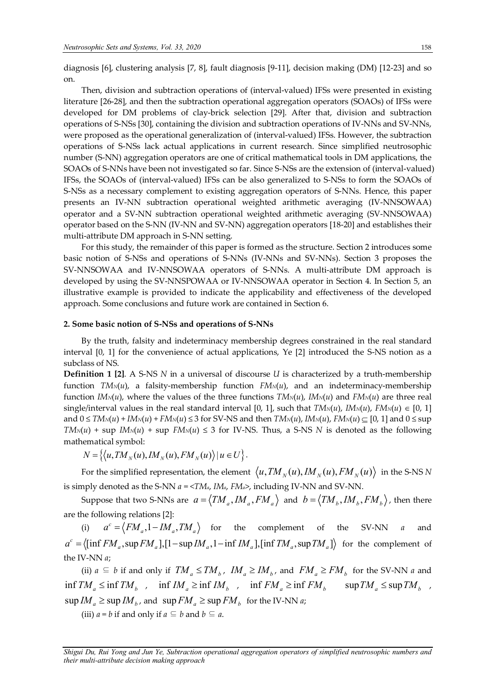diagnosis [6], clustering analysis [7, 8], fault diagnosis [9-11], decision making (DM) [12-23] and so on.

Then, division and subtraction operations of (interval-valued) IFSs were presented in existing literature [26-28], and then the subtraction operational aggregation operators (SOAOs) of IFSs were developed for DM problems of clay-brick selection [29]. After that, division and subtraction operations of S-NSs [30], containing the division and subtraction operations of IV-NNs and SV-NNs, were proposed as the operational generalization of (interval-valued) IFSs. However, the subtraction operations of S-NSs lack actual applications in current research. Since simplified neutrosophic number (S-NN) aggregation operators are one of critical mathematical tools in DM applications, the SOAOs of S-NNs have been not investigated so far. Since S-NSs are the extension of (interval-valued) IFSs, the SOAOs of (interval-valued) IFSs can be also generalized to S-NSs to form the SOAOs of S-NSs as a necessary complement to existing aggregation operators of S-NNs. Hence, this paper presents an IV-NN subtraction operational weighted arithmetic averaging (IV-NNSOWAA) operator and a SV-NN subtraction operational weighted arithmetic averaging (SV-NNSOWAA) operator based on the S-NN (IV-NN and SV-NN) aggregation operators [18-20] and establishes their multi-attribute DM approach in S-NN setting.

For this study, the remainder of this paper is formed as the structure. Section 2 introduces some basic notion of S-NSs and operations of S-NNs (IV-NNs and SV-NNs). Section 3 proposes the SV-NNSOWAA and IV-NNSOWAA operators of S-NNs. A multi-attribute DM approach is developed by using the SV-NNSPOWAA or IV-NNSOWAA operator in Section 4. In Section 5, an illustrative example is provided to indicate the applicability and effectiveness of the developed approach. Some conclusions and future work are contained in Section 6.

## **2. Some basic notion of S-NSs and operations of S-NNs**

By the truth, falsity and indeterminacy membership degrees constrained in the real standard interval [0, 1] for the convenience of actual applications, Ye [2] introduced the S-NS notion as a subclass of NS.

**Definition 1 [2]**. A S-NS *N* in a universal of discourse *U* is characterized by a truth-membership function *TMN*(*u*), a falsity-membership function *FMN*(*u*), and an indeterminacy-membership function  $IM_N(u)$ , where the values of the three functions  $TM_N(u)$ ,  $IM_N(u)$  and  $FM_N(u)$  are three real single/interval values in the real standard interval [0, 1], such that  $TM_N(u)$ ,  $TM_N(u)$ ,  $FM_N(u) \in [0, 1]$ and  $0 \le TM_N(u) + IM_N(u) + FM_N(u) \le 3$  for SV-NS and then  $TM_N(u)$ ,  $IM_N(u)$ ,  $FM_N(u) \subseteq [0, 1]$  and  $0 \le \sup$ *TM*<sup> $N$ </sup>(*u*) + sup *IM*<sup> $N$ </sup>(*u*) + sup *FM*<sup> $N$ </sup>(*u*) ≤ 3 for IV-NS. Thus, a S-NS N is denoted as the following mathematical symbol:

 $N = \{ \langle u, TM_N(u), IM_N(u), FM_N(u) \rangle | u \in U \}.$ 

For the simplified representation, the element  $\langle u, TM_{N}(u), IM_{N}(u), FM_{N}(u) \rangle$  in the S-NS *N* is simply denoted as the S-NN *a* = <*TMa*, *IMa*, *FMa*>, including IV-NN and SV-NN.

Suppose that two S-NNs are  $a = \langle TM_a, IM_a, FM_a \rangle$  and  $b = \langle TM_b, IM_b, FM_b \rangle$ , then there are the following relations [2]:

(i)  $a^c = \langle FM_a, 1 - IM_a, TM_a \rangle$  for the complement of the SV-NN *a* and  $a^c = \langle \text{inf } FM_a, \text{sup } FM_a \text{], } [1 - \text{sup } IM_a, 1 - \text{inf } IM_a \text{], } [\text{inf } TM_a, \text{sup } TM_a \text{]} \rangle$  for the complement of the IV-NN *a*;

(ii)  $a \subseteq b$  if and only if  $TM_a \leq TM_b$ ,  $IM_a \geq IM_b$ , and  $FM_a \geq FM_b$  for the SV-NN *a* and  $\inf TM_a \leq \inf TM_b$ ,  $\inf IM_a \geq \inf IM_b$ ,  $\inf FM_a \geq \inf FM_b$   $\sup TM_a \leq \sup TM_b$ ,  $\sup IM_a \geq \sup IM_b$ , and  $\sup FM_a \geq \sup FM_b$  for the IV-NN *a*;

(iii)  $a = b$  if and only if  $a \subseteq b$  and  $b \subseteq a$ .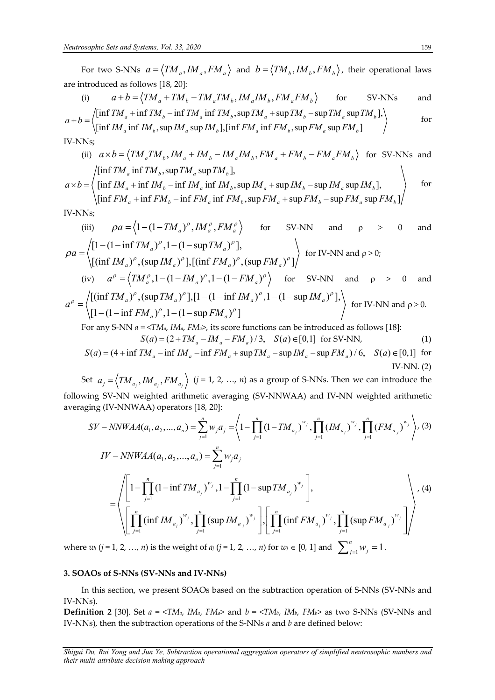are introduced as follows [18, 20]:

 $a+b = \left\langle TM_{a} + TM_{b} - TM_{a}TM_{b} , IM_{a}IM_{b} , FM_{a}FM_{b} \right\rangle \qquad \text{for} \qquad \text{SV-NNs} \qquad \text{and}$ [inf  $TM_a$  + inf  $TM_b$  – inf  $TM_a$  inf  $TM_b$ , sup  $TM_a$  + sup  $TM_b$  – sup  $TM_a$  sup  $TM_b$ ], [inf  $IM_a$  inf  $IM_b$ , sup  $IM_a$  sup  $IM_b$ ], [inf  $FM_a$  inf  $FM_b$ , sup  $FM_a$  sup  $FM_b$ ]  $a^{a}$  b and  $b^{a}$  and  $b^{a}$  and  $b^{a}$  and  $b^{a}$  b and  $b^{a}$  b and  $b^{a}$  and  $b^{a}$  and  $b^{a}$  $_a$  and *the*<sub>b</sub>, sup *a* a sup *a* b  $_b$  sup *a* b  $_b$  and *a* b and *a* sup *a* b and *a* sup *a* b  $_b$  $TM_a$  + inf  $TM_b$  - inf  $TM_a$  inf  $TM_b$ , sup  $TM_a$  + sup  $TM_b$  - sup  $TM_a$  sup  $TM_a$  $a + b =$  $IM_a$  inf  $IM_b$ , sup  $IM_a$  sup  $IM_b$ ], [inf  $FM_a$  inf  $FM_b$ , sup  $FM_a$  sup  $FM_a$  $+\inf TM_{b} - \inf TM_{a}$  inf  $TM_{b}$ , sup  $TM_{a} + \sup TM_{b} - \sup$  $f + b = \left( \begin{array}{ccc} 1 & 1 & 1 & 1 & 1 \\ 1 & 1 & 1 & 1 & 1 \\ 1 & 1 & 1 & 1 & 1 \end{array} \right)$  for IV-NNs; (ii)  $a \times b = \langle TM_aTM_b, IM_a+IM_b-IM_aIM_b, FM_a+FM_b-FM_aFM_b \rangle$  for SV-NNs and [inf  $TM_a$  inf  $TM_b$ , sup  $TM_a$  sup  $TM_b$ ], [inf  $IM_a$  + inf  $IM_b$  – inf  $IM_a$  inf  $IM_b$ , sup  $IM_a$  + sup  $IM_b$  – sup  $IM_a$  sup  $IM_b$ ], [inf  $FM_a$  + inf  $FM_b$  – inf  $FM_a$  inf  $FM_b$ , sup  $FM_a$  + sup  $FM_b$  – sup  $FM_a$  sup  $FM_b$ ]/  $_a$  and  $I_{W_b}$ ,  $\sup I_{W_a}$   $\sup I_{W_b}$ .  $a^{a}$  b and  $b^{a}$  and  $b^{a}$  and  $b^{a}$  b and  $b^{a}$  b and  $b^{a}$  b and  $b^{a}$  b and  $b^{a}$  $a^{n}$  a b and  $b^{n}$  and  $a^{n}$  and  $a^{n}$  and  $b^{n}$  a b  $a^{n}$  a b apple  $a^{n}$  a b  $a^{n}$  and  $b^{n}$  and  $b^{n}$  $TM_a$  inf  $TM_b$ , sup  $TM_a$  sup  $TM_a$  $a \times b = \langle \int [ \inf IM_a + \inf IM_b - \inf IM_a \inf IM_b, \sup IM_a + \sup IM_b - \sup IM_a \sup IM$  $FM_a$  + inf  $FM_b$  – inf  $FM_a$  inf  $FM_b$ , sup  $FM_a$  + sup  $FM_b$  – sup  $FM_a$  sup  $FM_a$  $\times b = \langle \int$  [inf  $IM_a$  + inf  $IM_b$  – inf  $IM_a$  inf  $IM_b$ , sup  $IM_a$  + sup  $IM_b$  – s  $+$  inf  $FM_{h}$  – inf  $FM_{a}$  inf  $FM_{h}$ , sup  $FM_{a}$  + sup  $FM_{h}$  – s for IV-NNs; (iii)  $\rho a = \langle 1 - (1 - TM_a)^{\rho}, JM_a^{\rho}, FM_a^{\rho} \rangle$  for SV-NN and  $\rho > 0$  and  $[1 - (1 - \inf TM_a)^\rho, 1 - (1 - \sup TM_a)^\rho],$  $[(\inf IM_a)^{\rho},(\sup IM_a)^{\rho}],[(\inf FM_a)^{\rho},(\sup FM_a)^{\rho}]/$  $a^j$ ,  $\frac{1}{a^j}$   $\frac{1}{a^j}$  $_{a}$ ,  $_{a}$ ,  $_{a}$ ,  $_{a}$ ,  $_{b}$   $_{c}$ ,  $_{c}$   $_{a}$ ,  $_{a}$ ,  $_{a}$ ,  $_{a}$ ,  $_{a}$ ,  $_{a}$ ,  $_{a}$ ,  $_{a}$ ,  $_{a}$ ,  $_{a}$ ,  $_{a}$ ,  $_{a}$ ,  $_{a}$ ,  $_{a}$ ,  $_{a}$ ,  $_{a}$ ,  $_{a}$ ,  $_{a}$ ,  $_{a}$ ,  $_{a}$ ,  $_{a}$ ,  $_{a}$ ,  $_{a}$ ,  $_{a}$ ,  $_{a}$ ,  $TM_a)^{\rho}$ , 1 – (1 – sup TM *a*  $IM_a)^\rho$ ,  $(\sup IM_a)^\rho$ ],  $[(\inf FM_a)^\rho$ ,  $(\sup FM_a)^\rho$  $\beta$  1 (1 cup TM )<sup> $\beta$ </sup>  $\beta a = \begin{cases} \n\frac{1}{2} \left( \int_{a}^{b} [f(t)]^2 f(t) \right) e^{-\frac{1}{2} \left( \int_{a}^{b} f(t) \right)^2} \left( \int_{a}^{b} f(t) \right)^2 e^{-\frac{1}{2} \left( \int_{a}^{b} f(t) \right)^2} \left( \int_{a}^{b} f(t) \right)^2 e^{-\frac{1}{2} \left( \int_{a}^{b} f(t) \right)^2} \left( \int_{a}^{b} f(t) \right)^2 e^{-\frac{1}{2} \left( \int_{a}^{b} f(t) \right)^2} \left( \int_{a}^{b} f(t$  $-(1 - \inf TM_a)^{\rho}, 1 - (1 - s)$  $f(x) = \begin{pmatrix} 1 & 1 & 1 \\ 1 & 0 & 0 \end{pmatrix}$  for IV-NN and  $\rho > 0$ ; (iv)  $a^{\rho} = \langle TM_a^{\rho}, 1 - (1 - IM_a)^{\rho}, 1 - (1 - FM_a)^{\rho} \rangle$  for SV-NN and  $\rho > 0$  and  $[(\inf TM_{a})^{\rho}, (\sup TM_{a})^{\rho}], [1-(1-\inf IM_{a})^{\rho}, 1-(1-\sup IM_{a})^{\rho}],$  $[1 - (1 - \inf FM_a)^{\rho}, 1 - (1 - \sup FM_a)^{\rho}]$  $_{a}$ ,  $_{a}$ ,  $_{a}$ ,  $_{a}$ ,  $_{a}$ ,  $_{a}$ ,  $_{a}$ ,  $_{a}$ ,  $_{a}$ ,  $_{a}$ ,  $_{a}$ ,  $_{a}$ ,  $_{a}$ ,  $_{a}$ ,  $_{a}$ ,  $_{a}$ ,  $_{a}$ ,  $_{a}$ ,  $_{a}$ ,  $_{a}$ ,  $_{a}$ ,  $_{a}$ ,  $_{a}$ ,  $_{a}$ ,  $_{a}$ ,  $_{a}$ ,  $_{a}$ ,  $_{a}$ ,  $_{a}$ ,  $_{a}$ ,  $_{a}$ ,  $_{a}$  $a^j$ ,  $\left(1 \quad \text{supp} \right)$   $a^j$  $T M_a$ <sup>o</sup>,  $(\sup TM_a)$ <sup>o</sup>],  $[1-(1-\inf IM_a)$ <sup>o</sup>,  $1-(1-\sup IM_a)$ *a*  $FM_{a})^{\rho}$ , 1 – (1 – sup *FM*  $\beta$  (gyp TM ) $\beta$  I [1 (1 inf IM ) $\beta$  1 (1 gyp IM ) $\beta$  $\rho$  $\beta$  1 (1 cup  $EM \rightarrow$  $-(1 - \inf IM_a)^{\rho}, 1 - (1 - s)$  $=$  $-(1 - \inf FM_a)^{\rho}, 1 - (1 - s)$ for IV-NN and  $\rho > 0$ . For any S-NN *a* = <*TMa*, *IMa*, *FMa*>, its score functions can be introduced as follows [18]:  $S(a) = (2 + TM_a - IM_a - FM_a)/3, \quad S(a) \in [0,1] \text{ for SV-NN},$  (1)

For two S-NNs  $a = \langle TM_a, IM_a, FM_a \rangle$  and  $b = \langle TM_b, IM_b, FM_b \rangle$ , their operational laws

$$
S(a) = (4 + \inf TM_a - \inf IM_a - \inf FM_a + \sup TM_a - \sup IM_a - \sup IM_a) / 6, \quad S(a) \in [0,1] \text{ for }
$$
IV-NN. (2)

Set  $a_j = \langle TM_{a_j}, IM_{a_j}, FM_{a_j} \rangle$  (*j* = 1, 2, …, *n*) as a group of S-NNs. Then we can introduce the following SV-NN weighted arithmetic averaging (SV-NNWAA) and IV-NN weighted arithmetic averaging (IV-NNWAA) operators [18, 20]:

$$
SV - NNWAA(a_1, a_2, ..., a_n) = \sum_{j=1}^{n} w_j a_j = \left\langle 1 - \prod_{j=1}^{n} (1 - TM_{a_j})^{w_j}, \prod_{j=1}^{n} (IM_{a_j})^{w_j}, \prod_{j=1}^{n} (FM_{a_j})^{w_j} \right\rangle, (3)
$$
  
\n
$$
IV - NNWAA(a_1, a_2, ..., a_n) = \sum_{j=1}^{n} w_j a_j
$$
  
\n
$$
= \left\langle \left[ 1 - \prod_{j=1}^{n} (1 - \inf TM_{a_j})^{w_j}, 1 - \prod_{j=1}^{n} (1 - \sup TM_{a_j})^{w_j} \right], \prod_{j=1}^{n} (\inf FM_{a_j})^{w_j}, \prod_{j=1}^{n} (\sup FM_{a_j})^{w_j} \right\rangle, (4)
$$

where  $w_j$   $(j = 1, 2, ..., n)$  is the weight of  $a_j$   $(j = 1, 2, ..., n)$  for  $w_j \in [0, 1]$  and  $\sum_{j=1}^{n} w_j = 1$  $\sum_{j=1}^{r} w_j = 1$ .

#### **3. SOAOs of S-NNs (SV-NNs and IV-NNs)**

In this section, we present SOAOs based on the subtraction operation of S-NNs (SV-NNs and IV-NNs).

**Definition 2** [30]. Set  $a = \langle TM_a, IM_a, FM_a \rangle$  and  $b = \langle TM_b, IM_b, FM_b \rangle$  as two S-NNs (SV-NNs and IV-NNs), then the subtraction operations of the S-NNs *a* and *b* are defined below:

*Shigui Du, Rui Yong and Jun Ye, Subtraction operational aggregation operators of simplified neutrosophic numbers and their multi-attribute decision making approach*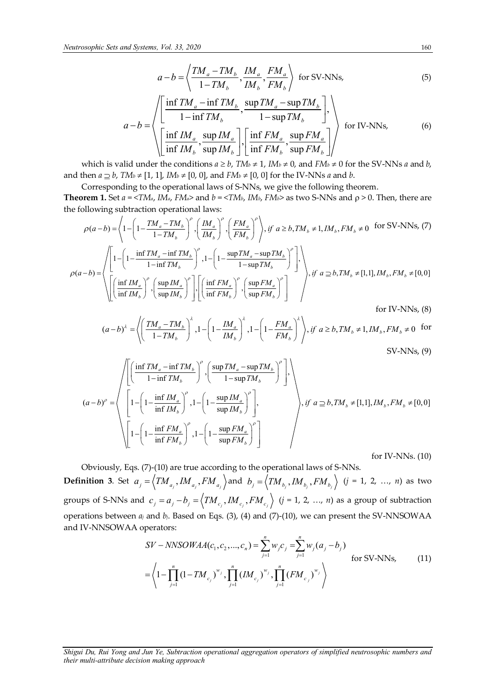$$
a - b = \left\langle \frac{TM_a - TM_b}{1 - TM_b}, \frac{IM_a}{IM_b}, \frac{FM_a}{FM_b} \right\rangle
$$
 for SV-NNs, (5)

$$
a - b = \left\langle \left[ \frac{\inf TM_a - \inf TM_b}{1 - \inf TM_b}, \frac{\sup TM_a - \sup TM_b}{1 - \sup TM_b} \right], \right\rangle
$$
  

$$
\left\langle \left[ \frac{\inf IM_a}{\inf IM_b}, \frac{\sup IM_a}{\sup IM_b} \right], \left[ \frac{\inf FM_a}{\inf FM_b}, \frac{\sup FM_a}{\sup FM_b} \right] \right\rangle
$$
 for IV-NNs, (6)

which is valid under the conditions  $a \ge b$ ,  $TM_b \ne 1$ ,  $IM_b \ne 0$ , and  $FM_b \ne 0$  for the SV-NNs *a* and *b*, and then  $a \supseteq b$ ,  $TM_b \neq [1, 1]$ ,  $IM_b \neq [0, 0]$ , and  $FM_b \neq [0, 0]$  for the IV-NNs *a* and *b*.

Corresponding to the operational laws of S-NNs, we give the following theorem. **Theorem 1.** Set  $a = \langle TM_a, IM_a, FM_a \rangle$  and  $b = \langle TM_b, IM_b, FM_b \rangle$  as two S-NNs and  $\rho > 0$ . Then, there are the following subtraction operational laws:

$$
\rho(a-b) = \left\langle 1 - \left(1 - \frac{TM_a - TM_b}{1 - TM_b}\right)^{\rho}, \left(\frac{IM_a}{IM_b}\right)^{\rho}, \left(\frac{FM_a}{FM_b}\right)^{\rho}\right\rangle, if a \ge b, TM_b \ne 1, IM_b, FM_b \ne 0 \text{ for SV-NNs, (7)}
$$

$$
\rho(a-b) = \left\langle \left[1 - \left(1 - \frac{\inf TM_a - \inf TM_b}{1 - \inf TM_b}\right)^{\rho}, 1 - \left(1 - \frac{\sup TM_a - \sup TM_b}{1 - \sup TM_b}\right)^{\rho}\right], \left(\frac{\sup TM_a - \sup TM_b}{1 - \sup TM_b}\right)^{\rho}, \text{if } a \ge b, TM_b \ne [1,1], IM_b, FM_b \ne [0,0]
$$

$$
\left\langle \left[\frac{\inf IM_a}{\inf IM_b}\right)^{\rho}, \left(\frac{\sup IM_a}{\sup IM_b}\right)^{\rho}, \left(\frac{\sup FM_a}{\inf FM_b}\right)^{\rho}, \left(\frac{\sup FM_a}{\sup FM_b}\right)^{\rho}\right] \right\rangle
$$

for IV-NNs,  $(8)$ 

$$
(a-b)^{\lambda} = \left\langle \left(\frac{TM_a - TM_b}{1 - TM_b}\right)^{\lambda}, 1 - \left(1 - \frac{IM_a}{IM_b}\right)^{\lambda}, 1 - \left(1 - \frac{FM_a}{FM_b}\right)^{\lambda}\right\rangle, \text{ if } a \ge b, TM_b \ne 1, IM_b, FM_b \ne 0 \text{ for } \text{SV-NNs, (9)}
$$

$$
(a-b)^{\rho} = \left\langle \begin{bmatrix} \left(\frac{\inf TM_a - \inf TM_b}{1 - \inf TM_b}\right)^{\rho}, \left(\frac{\sup TM_a - \sup TM_b}{1 - \sup TM_b}\right)^{\rho} \right], \\ \left[1 - \left(1 - \frac{\inf IM_a}{\inf IM_b}\right)^{\rho}, 1 - \left(1 - \frac{\sup IM_a}{\sup IM_b}\right)^{\rho} \right], \\ \left[1 - \left(1 - \frac{\inf FM_a}{\inf FM_b}\right)^{\rho}, 1 - \left(1 - \frac{\sup FM_a}{\sup FM_b}\right)^{\rho} \right] \end{bmatrix}, \text{ if } a \ge b, TM_b \ne [1, 1], IM_b, FM_b \ne [0, 0]
$$
  
for IV-NNs. (10)

Obviously, Eqs. (7)-(10) are true according to the operational laws of S-NNs. **Definition 3**. Set  $a_j = \left\langle TM_{a_j}, IM_{a_j}, FM_{a_j}\right\rangle$  and  $b_j = \left\langle TM_{b_j}, IM_{b_j}, FM_{b_j}\right\rangle$   $(j = 1, 2, ..., n)$  as two groups of S-NNs and  $c_j = a_j - b_j = \left\langle TM_{c_j}, IM_{c_j}, FM_{c_j}\right\rangle$   $(j = 1, 2, ..., n)$  as a group of subtraction operations between *aj* and *bj*. Based on Eqs. (3), (4) and (7)-(10), we can present the SV-NNSOWAA and IV-NNSOWAA operators:

$$
SV - NNSOWAA(c_1, c_2, ..., c_n) = \sum_{j=1}^{n} w_j c_j = \sum_{j=1}^{n} w_j (a_j - b_j)
$$
 for SV-NNs, for SV-NNs, (11)  

$$
= \left\langle 1 - \prod_{j=1}^{n} (1 - TM_{c_j})^{w_j}, \prod_{j=1}^{n} (IM_{c_j})^{w_j}, \prod_{j=1}^{n} (FM_{c_j})^{w_j} \right\rangle
$$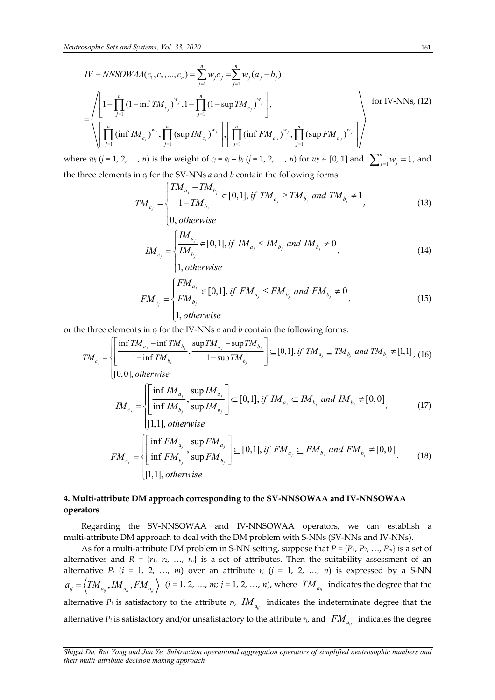$$
IV - NNSOWAA(c_1, c_2, ..., c_n) = \sum_{j=1}^{n} w_j c_j = \sum_{j=1}^{n} w_j (a_j - b_j)
$$
  
=  $\left\langle \left[ 1 - \prod_{j=1}^{n} (1 - \inf TM_{c_j})^{w_j}, 1 - \prod_{j=1}^{n} (1 - \sup TM_{c_j})^{w_j} \right], \right\}$  for IV-NNs, (12)  
 $\left\langle \left[ \prod_{j=1}^{n} (\inf IM_{c_j})^{w_j}, \prod_{j=1}^{n} (\sup IM_{c_j})^{w_j} \right], \left[ \prod_{j=1}^{n} (\inf FM_{c_j})^{w_j}, \prod_{j=1}^{n} (\sup FM_{c_j})^{w_j} \right] \right\rangle$ 

where  $w_j$  (*j* = 1, 2, …, *n*) is the weight of  $c_j = a_j - b_j$  (*j* = 1, 2, …, *n*) for  $w_j \in [0, 1]$  and  $\sum_{j=1}^{n} w_j = 1$  $w_j$ <sup> $=$ </sup> $1$ , and the three elements in *c<sup>j</sup>* for the SV-NNs *a* and *b* contain the following forms:

$$
TM_{c_j} = \begin{cases} \frac{TM_{a_j} - TM_{b_j}}{1 - TM_{b_j}} \in [0,1], \text{ if } TM_{a_j} \ge TM_{b_j} \text{ and } TM_{b_j} \ne 1\\ 0, \text{ otherwise} \end{cases}
$$
(13)

$$
[0, otherwise]
$$
  

$$
IM_{c_j} = \begin{cases} \frac{IM_{a_j}}{IM_{b_j}} \in [0,1], if IM_{a_j} \le IM_{b_j} \text{ and } IM_{b_j} \ne 0\\ 1, otherwise \end{cases}
$$
 (14)

$$
FM_{c_j} = \begin{cases} FM_{a_j} \\ FM_{b_j} \\ IM_{b_j} \end{cases} \in [0,1], if FM_{a_j} \le FM_{b_j} and FM_{b_j} \ne 0
$$
\n
$$
1, otherwise \tag{15}
$$

or the three elements in *c<sup>j</sup>* for the IV-NNs *a* and *b* contain the following forms:

$$
TM_{c_j} = \begin{cases} \left[ \frac{\inf TM_{a_j} - \inf TM_{b_j}}{1 - \inf TM_{b_j}}, \frac{\sup TM_{a_j} - \sup TM_{b_j}}{1 - \sup TM_{b_j}} \right] \subseteq [0,1], \text{ if } TM_{a_j} \supset TM_{b_j} \text{ and } TM_{b_j} \neq [1,1], (16) \\ [0,0], \text{ otherwise} \end{cases}
$$
  
\n
$$
IM_{c_j} = \begin{cases} \left[ \frac{\inf IM_{a_j}}{\inf IM_{b_j}}, \frac{\sup IM_{a_j}}{\sup IM_{b_j}} \right] \subseteq [0,1], \text{ if } IM_{a_j} \subseteq IM_{b_j} \text{ and } IM_{b_j} \neq [0,0] \\ [1,1], \text{ otherwise} \end{cases}
$$
  
\n
$$
FM_{c_j} = \begin{cases} \left[ \frac{\inf FM_{a_j}}{\inf FM_{a_j}}, \frac{\sup FM_{a_j}}{\sup FM_{b_j}} \right] \subseteq [0,1], \text{ if } FM_{a_j} \subseteq IM_{b_j} \text{ and } IM_{b_j} \neq [0,0] \\ [1,1], \text{ otherwise} \end{cases}
$$
  
\n
$$
TM_{c_j} = \begin{cases} \left[ \frac{\inf FM_{a_j}}{\inf FM_{b_j}}, \frac{\sup FM_{a_j}}{\sup FM_{b_j}} \right] \subseteq [0,1], \text{ if } FM_{a_j} \subseteq FM_{b_j} \text{ and } FM_{b_j} \neq [0,0] \\ [1,1], \text{ otherwise} \end{cases}
$$
  
\n(18)

# **4. Multi-attribute DM approach corresponding to the SV-NNSOWAA and IV-NNSOWAA operators**

Regarding the SV-NNSOWAA and IV-NNSOWAA operators, we can establish a multi-attribute DM approach to deal with the DM problem with S-NNs (SV-NNs and IV-NNs).

As for a multi-attribute DM problem in S-NN setting, suppose that  $P = \{P_1, P_2, ..., P_m\}$  is a set of alternatives and  $R = \{r_1, r_2, ..., r_n\}$  is a set of attributes. Then the suitability assessment of an alternative  $P_i$  ( $i = 1, 2, ..., m$ ) over an attribute  $r_j$  ( $j = 1, 2, ..., n$ ) is expressed by a S-NN  $a_{ij} = \left\langle TM_{a_{ij}}, IM_{a_{ij}}, FM_{a_{ij}} \right\rangle$  (*i* = 1, 2, …, *m*; *j* = 1, 2, …, *n*), where  $\left\langle TM_{a_{ij}} \right\rangle$  indicates the degree that the alternative  $P_i$  is satisfactory to the attribute  $r_j$ ,  $\overline{IM}_{a_j}$  indicates the indeterminate degree that the alternative  $P_i$  is satisfactory and/or unsatisfactory to the attribute  $r_j$ , and  $\left\|FM_{a_{ij}}\right\|$  indicates the degree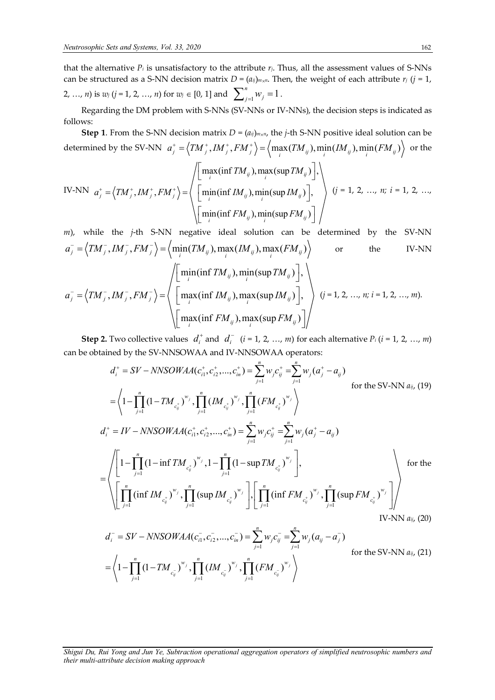that the alternative *Pi* is unsatisfactory to the attribute *rj*. Thus, all the assessment values of S-NNs can be structured as a S-NN decision matrix  $D = (a_{ij})_{m \times n}$ . Then, the weight of each attribute  $r_j$  ( $j = 1$ , 2, ..., *n*) is *w<sub>j</sub>* (*j* = 1, 2, ..., *n*) for *w<sub>j</sub>*  $\in$  [0, 1] and  $\sum_{j=1}^{n} w_j = 1$  $\sum_{j=1}^{i} w_j = 1$ .

Regarding the DM problem with S-NNs (SV-NNs or IV-NNs), the decision steps is indicated as follows:

**Step 1**. From the S-NN decision matrix  $D = (a_{ij})_{m \times n}$ , the *j*-th S-NN positive ideal solution can be determined by the SV-NN  $a_j^+ = \langle TM_j^+, IM_j^+, FM_j^+ \rangle = \langle \max_i(TM_{ij}), \min_i(M_{ij}), \min_i(FM_{ij}) \rangle$  or the

IV-NN 
$$
a_j^+ = \langle TM_j^+, IM_j^+, FM_j^+ \rangle = \left\langle \begin{bmatrix} \max(\inf TM_{ij}), \max(\sup TM_{ij}) \\ \left[ \min(\inf IM_{ij}), \min_i(\sup IM_{ij}) \right], \\ \left[ \min_i(\inf FM_{ij}), \min_i(\sup FM_{ij}) \right] \end{bmatrix} \right\rangle
$$
  $(j = 1, 2, ..., n; i = 1, 2, ...,$ 

m), while the *j*-th S-NN negative ideal solution can be determined by the SV-NN  
\n
$$
a_j^- = \langle TM_j^-, IM_j^-, FM_j^-\rangle = \left\langle \min_i(TM_{ij}), \max_i(M_{ij}), \max_i(FM_{ij}) \right\rangle
$$
 or the IV-NN  
\n $a_j^- = \langle TM_j^-, IM_j^-, FM_j^-\rangle = \left\langle \left[\min_i(\inf TM_{ij}), \min_i(\sup TM_{ij})\right], \right\rangle$   
\n $\left[\max_i(\inf FM_{ij}), \max_i(\sup IM_{ij})\right], \right\rangle$   $(j = 1, 2, ..., n; i = 1, 2, ..., m).$   
\n $\left[\max_i(\inf FM_{ij}), \max_i(\sup FM_{ij})\right]$ 

**Step 2.** Two collective values  $d_i^+$  and  $d_i^-$  (*i* = 1, 2, …, *m*) for each alternative  $P_i$  (*i* = 1, 2, …, *m*) can be obtained by the SV-NNSOWAA and IV-NNSOWAA operators:

$$
d_i^+ = SV - NNSOWAA(c_{i1}^+, c_{i2}^+, ..., c_{in}^+) = \sum_{j=1}^n w_j c_{ij}^+ = \sum_{j=1}^n w_j (a_j^+ - a_{ij})
$$
  
\nfor the SV-NN  $a_{ij}$ , (19)  
\n
$$
= \left\langle 1 - \prod_{j=1}^n (1 - TM_{c_{ij}^+})^{w_j}, \prod_{j=1}^n (IM_{c_{ij}^+})^{w_j}, \prod_{j=1}^n (FM_{c_{ij}^+})^{w_j} \right\rangle
$$
  
\n
$$
d_i^+ = IV - NNSOWAA(c_{i1}^+, c_{i2}^+, ..., c_{in}^+) = \sum_{j=1}^n w_j c_{ij}^+ = \sum_{j=1}^n w_j (a_j^+ - a_{ij})
$$
  
\n
$$
= \left\langle \left[ 1 - \prod_{j=1}^n (1 - \inf TM_{c_{ij}^+})^{w_j}, 1 - \prod_{j=1}^n (1 - \sup TM_{c_{ij}^+})^{w_j} \right], \prod_{j=1}^n (\inf FM_{c_{ij}^+})^{w_j}, \prod_{j=1}^n (\sup FM_{c_{ij}^+})^{w_j} \right\rangle \right\rangle
$$
for the  
\n
$$
\left\langle \prod_{j=1}^n (\inf M_{c_{ij}^+})^{w_j}, \prod_{j=1}^n (\sup M_{c_{ij}^+})^{w_j} \right\rangle, \left[ \prod_{j=1}^n (\inf FM_{c_{ij}^+})^{w_j}, \prod_{j=1}^n (\sup FM_{c_{ij}^+})^{w_j} \right\rangle \right\rangle
$$
  
\nIV-NN  $a_{ij}$ , (20)  
\n
$$
d_i^- = SV - NNSOWAA(c_{i1}^-, c_{i2}^-, ..., c_{in}^-) = \sum_{j=1}^n w_j c_{ij}^- = \sum_{j=1}^n w_j (a_{ij} - a_j^-)
$$
  
\nfor the SV-NN  $a_{ij}$ , (21)  
\n
$$
= \left\langle 1 - \prod_{j=1}^n (1 - TM_{c_{ij}^-})^{w_j}, \prod_{j=1}^n (IM_{c_{ij}^-})^{w_j}, \prod_{j=1}^n (FM_{c_{ij}^-})^{w_j} \right\rangle
$$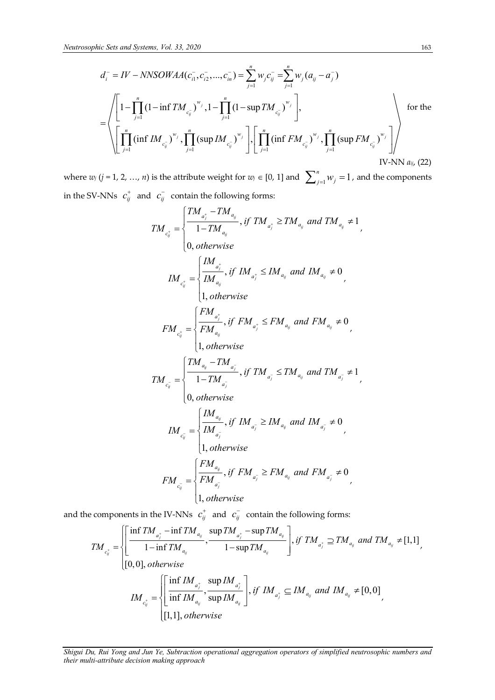$$
d_i^- = IV - NNSOWAA(c_{i1}^-, c_{i2}^-, ..., c_{in}^-) = \sum_{j=1}^n w_j c_{ij}^- = \sum_{j=1}^n w_j (a_{ij} - a_j^-)
$$
  
\n
$$
= \left\langle \left[ 1 - \prod_{j=1}^n (1 - \inf TM_{c_{ij}^-})^{w_j}, 1 - \prod_{j=1}^n (1 - \sup TM_{c_{ij}^-})^{w_j} \right], \left[ \prod_{j=1}^n (\inf FM_{c_{ij}^-})^{w_j}, \prod_{j=1}^n (\sup FM_{c_{ij}^-})^{w_j} \right] \right\rangle
$$
for the

where  $w_j$   $(j = 1, 2, ..., n)$  is the attribute weight for  $w_j \in [0, 1]$  and  $\sum_{j=1}^{n} w_j = 1$  $w_j$ <sup>*i*</sup><sub>*j*=1</sub></sub> *w*<sub>*j*</sub> = 1, and the components in the SV-NNs  $c_{ij}^+$  and  $c_{ij}^-$  contain the following forms:

$$
TM_{c_{ij}^+} = \begin{cases} \frac{TM_{a_j^+} - TM_{a_{ij}}}{1 - TM_{a_{ij}}}, \text{if } TM_{a_j^+} \ge TM_{a_{ij}} \text{ and } TM_{a_{ij}} \ne 1 \\ 0, \text{ otherwise} \end{cases},
$$
  
\n
$$
IM_{c_{ij}^+} = \begin{cases} \frac{IM_{a_j^+}}{IM_{a_{ij}^+}}, \text{if } IM_{a_j^+} \le IM_{a_{ij}} \text{ and } IM_{a_{ij}} \ne 0 \\ 1, \text{ otherwise} \end{cases},
$$
  
\n
$$
FM_{c_{ij}^+} = \begin{cases} \frac{FM_{a_j^+}}{FM_{a_{ij}^+}}, \text{if } FM_{a_j^+} \le FM_{a_{ij}} \text{ and } FM_{a_{ij}} \ne 0 \\ 1, \text{ otherwise} \end{cases},
$$
  
\n
$$
TM_{c_{ij}^-} = \begin{cases} \frac{TM_{a_{ij}} - TM_{a_{ij}^-}}{1 - TM_{a_{ij}^-}}, \text{if } TM_{a_{ij}^-} \le TM_{a_{ij}} \text{ and } TM_{a_{ij}^-} \ne 1 \\ 0, \text{ otherwise} \end{cases},
$$
  
\n
$$
IM_{c_{ij}^-} = \begin{cases} \frac{IM_{a_{ij}^-}}{IM_{a_{ij}^-}}, \text{if } IM_{a_{ij}^-} \ge IM_{a_{ij}} \text{ and } IM_{a_{ij}^-} \ne 0 \\ 1, \text{ otherwise} \end{cases},
$$
  
\n
$$
FM_{c_{ij}^-} = \begin{cases} \frac{FM_{a_{ij}^-}}{FM_{a_{ij}^-}}, \text{if } FM_{a_{ij}^-} \ge FM_{a_{ij}} \text{ and } FM_{a_{ij}^-} \ne 0 \\ 1, \text{ otherwise} \end{cases},
$$

and the components in the IV-NNs  $\ c_{ij}^+$  and  $\ c_{ij}^-$  contain the following forms:

$$
TM_{c_{ij}^{+}} = \n\begin{cases}\n\left[\frac{\inf TM_{a_{j}^{+}} - \inf TM_{a_{ij}}}{1 - \inf TM_{a_{ij}}}, \frac{\sup TM_{a_{j}^{+}} - \sup TM_{a_{ij}}}{1 - \sup TM_{a_{ij}}}\right], & \text{if } TM_{a_{j}^{+}} \supseteq TM_{a_{ij}} \text{ and } TM_{a_{ij}} \neq [1,1], \\
[0,0], & \text{otherwise}\n\end{cases}
$$
\n
$$
IM_{c_{ij}^{+}} = \n\begin{cases}\n\left[\frac{\inf IM_{a_{j}^{+}}}{\inf IM_{a_{ij}^{-}}}, \frac{\sup IM_{a_{j}^{+}}}{\sup IM_{a_{ij}^{-}}}\right], & \text{if } IM_{a_{j}^{+}} \subseteq IM_{a_{ij}} \text{ and } IM_{a_{ij}} \neq [0,0], \\
[1,1], & \text{otherwise}\n\end{cases}
$$

*Shigui Du, Rui Yong and Jun Ye, Subtraction operational aggregation operators of simplified neutrosophic numbers and their multi-attribute decision making approach*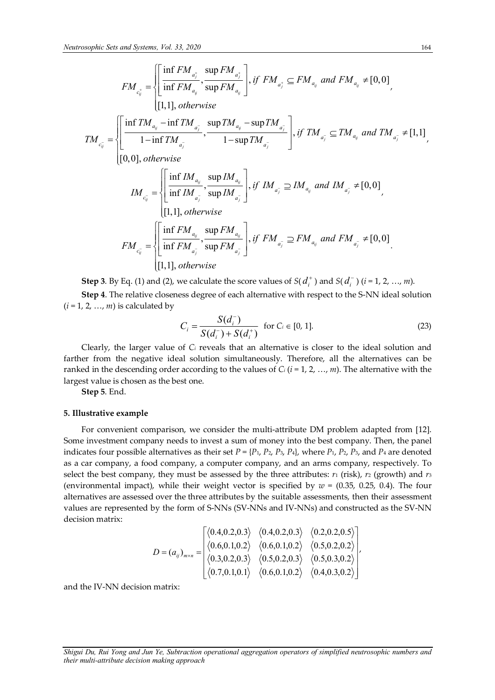$$
FM_{c_{ij}^+} = \left\{ \left[ \frac{\inf FM_{a_j^+}}{\inf FM_{a_j^-}}, \frac{\sup FM_{a_j^+}}{\sup FM_{a_j^-}} \right], if FM_{a_j^+} \subseteq FM_{a_{ij}} and FM_{a_{ij}} \neq [0,0] \right\}
$$
\n
$$
TM_{c_{ij}^-} = \left\{ \left[ \frac{\inf TM_{a_{ij}} - \inf TM_{a_j^-}}{1 - \inf TM_{a_j^-}}, \frac{\sup TM_{a_{ij}} - \sup TM_{a_j^-}}{1 - \sup TM_{a_j^-}} \right], if TM_{a_j^-} \subseteq TM_{a_{ij}} and TM_{a_j^-} \neq [1,1] \right\}
$$
\n
$$
IM_{c_{ij}^-} = \left\{ \left[ \frac{\inf IM_{a_{ij}} \sup MM_{a_{ij}^-}}{\inf IM_{a_{ij}^-}}, \frac{\sup IM_{a_{ij}}}{\sup IM_{a_{ij}^-}} \right], if IM_{a_{ij}^-} \supset M_{a_{ij}^-} and IM_{a_{ij}^-} \neq [0,0] \right\}
$$
\n
$$
IM_{c_{ij}^-} = \left\{ \left[ \frac{\inf FM_{a_{ij}} \sup CM_{a_{ij}^-}}{\inf FM_{a_{ij}^-}}, \frac{\sup TM_{a_{ij}^-}}{\sup TM_{a_{ij}^-}} \right], if FM_{a_{ij}^-} \supset M_{a_{ij}^-} and FM_{a_{ij}^-} \neq [0,0] \right\}
$$
\n
$$
FM_{c_{ij}^-} = \left\{ \left[ \frac{\inf FM_{a_{ij}} \sup FM_{a_{ij}^-}}{\inf FM_{a_{ij}^-}}, \frac{\sup FM_{a_{ij}^-}}{\sup FM_{a_{ij}^-}} \right], if FM_{a_{ij}^-} \supset FM_{a_{ij}^-} and FM_{a_{ij}^-} \neq [0,0] \right\}
$$

**Step 3**. By Eq. (1) and (2), we calculate the score values of  $S(d_i^+)$  $d_i^{\pm}$  ) and  $S(d_i^{\pm}$ *i d* ) (*i* = 1, 2, …, *m*). **Step 4**. The relative closeness degree of each alternative with respect to the S-NN ideal solution  $(i = 1, 2, ..., m)$  is calculated by

$$
C_i = \frac{S(d_i^-)}{S(d_i^-) + S(d_i^+)} \text{ for } C_i \in [0, 1].
$$
 (23)

Clearly, the larger value of *C<sup>i</sup>* reveals that an alternative is closer to the ideal solution and farther from the negative ideal solution simultaneously. Therefore, all the alternatives can be ranked in the descending order according to the values of  $C_i$  ( $i = 1, 2, ..., m$ ). The alternative with the largest value is chosen as the best one.

**Step 5**. End.

#### **5. Illustrative example**

For convenient comparison, we consider the multi-attribute DM problem adapted from [12]. Some investment company needs to invest a sum of money into the best company. Then, the panel indicates four possible alternatives as their set  $P = \{P_1, P_2, P_3, P_4\}$ , where  $P_1, P_2, P_3$ , and  $P_4$  are denoted as a car company, a food company, a computer company, and an arms company, respectively. To select the best company, they must be assessed by the three attributes:  $r_1$  (risk),  $r_2$  (growth) and  $r_3$ (environmental impact), while their weight vector is specified by  $w = (0.35, 0.25, 0.4)$ . The four alternatives are assessed over the three attributes by the suitable assessments, then their assessment values are represented by the form of S-NNs (SV-NNs and IV-NNs) and constructed as the SV-NN decision matrix:

$$
D = (a_{ij})_{m \times n} = \begin{bmatrix} \langle 0.4, 0.2, 0.3 \rangle & \langle 0.4, 0.2, 0.3 \rangle & \langle 0.2, 0.2, 0.5 \rangle \\ \langle 0.6, 0.1, 0.2 \rangle & \langle 0.6, 0.1, 0.2 \rangle & \langle 0.5, 0.2, 0.2 \rangle \\ \langle 0.3, 0.2, 0.3 \rangle & \langle 0.5, 0.2, 0.3 \rangle & \langle 0.5, 0.3, 0.2 \rangle \\ \langle 0.7, 0.1, 0.1 \rangle & \langle 0.6, 0.1, 0.2 \rangle & \langle 0.4, 0.3, 0.2 \rangle \end{bmatrix}.
$$

and the IV-NN decision matrix:

*Shigui Du, Rui Yong and Jun Ye, Subtraction operational aggregation operators of simplified neutrosophic numbers and their multi-attribute decision making approach*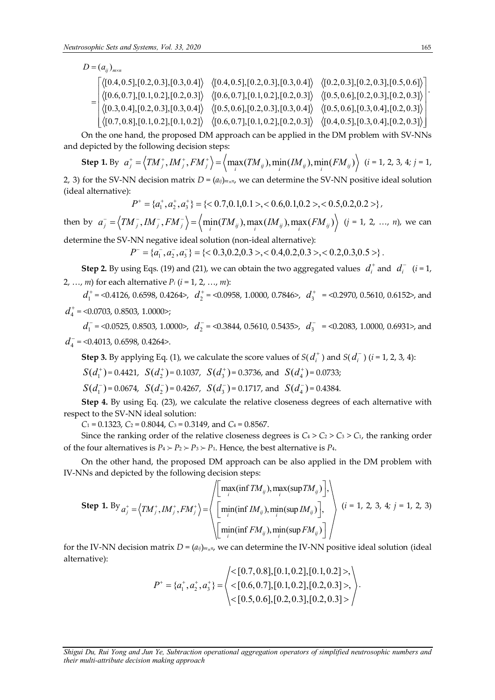$$
D=(a_{ij})_{m\times n}
$$

|  |  | $\left[\begin{matrix} \langle [0.4, 0.5], [0.2, 0.3], [0.3, 0.4] \rangle & \langle [0.4, 0.5], [0.2, 0.3], [0.3, 0.4] \rangle & \langle [0.2, 0.3], [0.2, 0.3], [0.5, 0.6] \rangle \end{matrix}\right]\n\left[\begin{matrix} \langle [0.6, 0.7], [0.1, 0.2], [0.2, 0.3] \rangle & \langle [0.6, 0.7], [0.1, 0.2], [0.2, 0.3] \rangle & \langle [0.5, 0.6], [0.2, 0.3], [0$ |
|--|--|----------------------------------------------------------------------------------------------------------------------------------------------------------------------------------------------------------------------------------------------------------------------------------------------------------------------------------------------------------------------------|
|  |  |                                                                                                                                                                                                                                                                                                                                                                            |
|  |  | $\langle [0.7, 0.8], [0.1, 0.2], [0.1, 0.2] \rangle \quad \langle [0.6, 0.7], [0.1, 0.2], [0.2, 0.3] \rangle \quad \langle [0.4, 0.5], [0.3, 0.4], [0.2, 0.3] \rangle$                                                                                                                                                                                                     |

On the one hand, the proposed DM approach can be applied in the DM problem with SV-NNs and depicted by the following decision steps:

**Step 1.** By 
$$
a_j^+ = \langle TM_j^+, IM_j^+, FM_j^+ \rangle = \langle \max_i(TM_{ij}), \min_i(IM_{ij}), \min_i(FM_{ij}) \rangle
$$
 (*i* = 1, 2, 3, 4; *j* = 1, 2, 3) for the SV-NN decision matrix *D* =  $(a_{ij})_{m \times n_j}$ , we can determine the SV-NN positive ideal solution (ideal alternative):

$$
P^+ = \{a_1^+, a_2^+, a_3^+\} = \{< 0.7, 0.1, 0.1 > , < 0.6, 0.1, 0.2 > , < 0.5, 0.2, 0.2 > \},
$$

then by  $a_j^- = \langle TM_j^-, IM_j^-, FM_j^-\rangle = \langle \min_i(TM_{ij}), \max_i(M_{ij}), \max_i(FM_{ij})\rangle$   $(j = 1, 2, ..., n)$ , we can

determine the SV-NN negative ideal solution (non-ideal alternative):

 ${P}^{\text{-}} = \{a_1^{\text{-}}, a_2^{\text{-}}, a_3^{\text{-}}\} = \{\text{&} 0.3, 0.2, 0.3 \text{>} \text{< } 0.4, 0.2, 0.3 \text{>} \text{< } 0.2, 0.3, 0.5 \text{>} \}$ 

**Step 2.** By using Eqs. (19) and (21), we can obtain the two aggregated values  $d_i^+$  and  $d_i^-$  (*i* = 1, 2, …, *m*) for each alternative *Pi* (*i* = 1, 2, …, *m*):

 $^{+}$  $d_1^+$  = <0.4126, 0.6598, 0.4264>,  $d_2^+$  = <0.0958, 1.0000, 0.7846>,  $d_3^+$  = <0.2970, 0.5610, 0.6152>, and  $^{+}$ 4 *d = <*0.0703, 0.8503, 1.0000>;

 $\overline{\phantom{0}}$  $d_1^-$  = <0.0525, 0.8503, 1.0000>,  $d_2^-$  = <0.3844, 0.5610, 0.5435>,  $d_3^-$  = <0.2083, 1.0000, 0.6931>, and -4 *d = <*0.4013, 0.6598, 0.4264>.

**Step 3.** By applying Eq. (1), we calculate the score values of  $S(d_i^+)$  $d_i^{\pm}$  ) and  $S(d_i^{\pm})$ *i d* ) (*i* = 1, 2, 3, 4):

 $(d_1^+)$  $S(d_1^+) = 0.4421, S(d_2^+)$  $S(d_2^+) = 0.1037, S(d_3^+)$  $S(d_3^+)$  = 0.3736, and  $S(d_4^+)$  $S(d_4^+)$  = 0.0733;

 $(d^-_1)$  $S(d_1^-) = 0.0674, S(d_2^-)$  $S(d_2^-)$  = 0.4267,  $S(d_3^-)$  $S(d_3^-)$  = 0.1717, and  $S(d_4^-)$  $S(d_4^-)$  = 0.4384.

**Step 4.** By using Eq. (23), we calculate the relative closeness degrees of each alternative with respect to the SV-NN ideal solution:

*C*1 = 0.1323, *C*2 = 0.8044, *C*3 = 0.3149, and *C*4 = 0.8567.

Since the ranking order of the relative closeness degrees is  $C_4 > C_2 > C_3 > C_1$ , the ranking order of the four alternatives is  $P_4 \succ P_2 \succ P_3 \succ P_1$ . Hence, the best alternative is  $P_4$ .

On the other hand, the proposed DM approach can be also applied in the DM problem with IV-NNs and depicted by the following decision steps:  $\equiv$   $\sqrt{ }$ 

**Step 1.** By 
$$
a_j^+ = \langle TM_j^+, IM_j^+, FM_j^+ \rangle = \left\langle \begin{bmatrix} \max(\inf TM_{ij}), \max(\sup TM_{ij}) \\ \min(\inf IM_{ij}), \min(\sup IM_{ij}) \end{bmatrix}, \begin{cases} (i = 1, 2, 3, 4; j = 1, 2, 3) \\ \min(\inf FM_{ij}), \min(\sup FM_{ij}) \end{cases} \right\rangle
$$

for the IV-NN decision matrix  $D = (a_{ij})_{m \times n}$ , we can determine the IV-NN positive ideal solution (ideal alternative):

$$
P^+ = \{a_1^+, a_2^+, a_3^+\} = \begin{cases} < [0.7, 0.8], [0.1, 0.2], [0.1, 0.2] > \\ < [0.6, 0.7], [0.1, 0.2], [0.2, 0.3] > \\ < [0.5, 0.6], [0.2, 0.3], [0.2, 0.3] > \end{cases}.
$$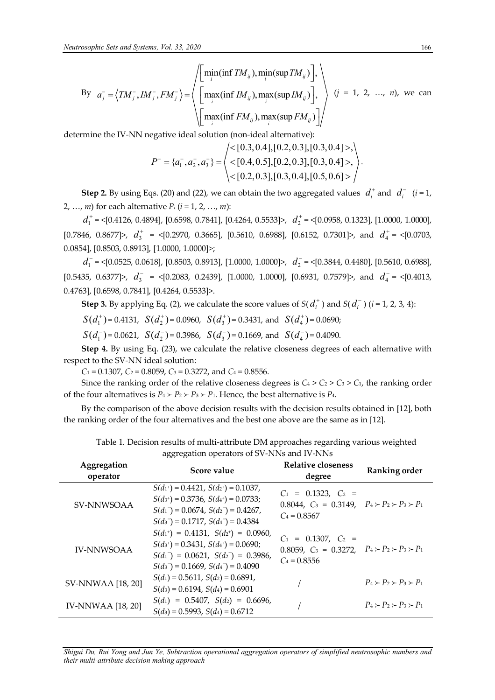By 
$$
a_j^- = \langle TM_j^-, IM_j^-, FM_j^-\rangle = \left\langle \begin{bmatrix} \min_i(\inf TM_{ij}), \min_i(\sup TM_{ij}) \\ \left[\max_i(\inf IM_{ij}), \max_i(\sup IM_{ij})\right], \\ \left[\max_i(\inf FM_{ij}), \max_i(\sup FM_{ij})\right] \end{bmatrix} \right\rangle
$$
  $(j = 1, 2, ..., n)$ , we can

determine the IV-NN negative ideal solution (non-ideal alternative):

$$
P^{-} = \{a_{1}^{-}, a_{2}^{-}, a_{3}^{-}\} = \begin{pmatrix} < [0.3, 0.4], [0.2, 0.3], [0.3, 0.4] > \\ < [0.4, 0.5], [0.2, 0.3], [0.3, 0.4] > \\ < [0.2, 0.3], [0.3, 0.4], [0.5, 0.6] > \end{pmatrix}.
$$

**Step 2.** By using Eqs. (20) and (22), we can obtain the two aggregated values  $d_i^+$  and  $d_i^-$  (*i* = 1, 2, …, *m*) for each alternative *Pi* (*i* = 1, 2, …, *m*):

 $^{+}$ 1 *d = <*[0.4126, 0.4894], [0.6598, 0.7841], [0.4264, 0.5533]>, 2 *d =* <[0.0958, 0.1323], [1.0000, 1.0000],  $[0.7846, 0.8677]$ >,  $d_3^+$  = < $[0.2970, 0.3665]$ ,  $[0.5610, 0.6988]$ ,  $[0.6152, 0.7301]$ >, and  $d_4^+$  = < $[0.0703, 0.6988]$ 0.0854], [0.8503, 0.8913], [1.0000, 1.0000]>;

 $\overline{\phantom{0}}$ 1 *d = <*[0.0525, 0.0618], [0.8503, 0.8913], [1.0000, 1.0000]>, 2 *d =* <[0.3844, 0.4480], [0.5610, 0.6988],  $[0.5435, 0.6377]$ ,  $d_3^-$  = < $[0.2083, 0.2439]$ ,  $[1.0000, 1.0000]$ ,  $[0.6931, 0.7579]$ , and  $d_4^-$  = < $[0.4013, 0.000]$ 0.4763], [0.6598, 0.7841], [0.4264, 0.5533]>.

**Step 3.** By applying Eq. (2), we calculate the score values of  $S(d_i^+)$  $d_i^{\pm}$  ) and  $S(d_i^{\pm}$ *i d* ) (*i* = 1, 2, 3, 4):

 $(d_1^+)$  $S(d_1^+) = 0.4131, S(d_2^+)$  $S(d_2^+) = 0.0960, S(d_3^+)$  $S(d_3^+)$  = 0.3431, and  $S(d_4^+)$  $S(d_4^+)$  = 0.0690;

 $(d^-_1)$  $S(d_1^-) = 0.0621, S(d_2^-)$  $S(d_2^-)$  = 0.3986,  $S(d_3^-)$  $S(d_3^-)$  = 0.1669, and  $S(d_4^-)$  $S(d_4^-)$  = 0.4090.

**Step 4.** By using Eq. (23), we calculate the relative closeness degrees of each alternative with respect to the SV-NN ideal solution:

*C*1 = 0.1307, *C*2 = 0.8059, *C*3 = 0.3272, and *C*4 = 0.8556.

Since the ranking order of the relative closeness degrees is  $C_4 > C_2 > C_3 > C_1$ , the ranking order of the four alternatives is  $P_4 \succ P_2 \succ P_3 \succ P_1$ . Hence, the best alternative is  $P_4$ .

By the comparison of the above decision results with the decision results obtained in [12], both the ranking order of the four alternatives and the best one above are the same as in [12].

| Aggregation<br>operator  | יה ייטייה יהה<br>Score value                                                                                                                                                                   | Relative closeness<br>degree                                                                                    | Ranking order                       |
|--------------------------|------------------------------------------------------------------------------------------------------------------------------------------------------------------------------------------------|-----------------------------------------------------------------------------------------------------------------|-------------------------------------|
| SV-NNWSOAA               | $S(d_{1}) = 0.4421$ , $S(d_{2}) = 0.1037$ ,<br>$S(d_{3}^{+}) = 0.3736$ , $S(d_{4}^{+}) = 0.0733$ ;<br>$S(d_1^-) = 0.0674$ , $S(d_2^-) = 0.4267$ ,<br>$S(d_3^-) = 0.1717$ , $S(d_4^-) = 0.4384$ | $C_1 = 0.1323, C_2 =$<br>0.8044, $C_3 = 0.3149$ , $P_4 \succ P_2 \succ P_3 \succ P_1$<br>$C_4$ = 0.8567         |                                     |
| <b>IV-NNWSOAA</b>        | $S(d_{1}) = 0.4131, S(d_{2}) = 0.0960,$<br>$S(d_{3}^{+}) = 0.3431$ , $S(d_{4}^{+}) = 0.0690$ ;<br>$S(d_1^-) = 0.0621$ , $S(d_2^-) = 0.3986$ ,<br>$S(d_3^-) = 0.1669$ , $S(d_4^-) = 0.4090$     | $C_1 = 0.1307, C_2 =$<br>0.8059, C <sub>3</sub> = 0.3272, $P_4 \succ P_2 \succ P_3 \succ P_1$<br>$C_4$ = 0.8556 |                                     |
| <b>SV-NNWAA</b> [18, 20] | $S(d_1) = 0.5611, S(d_2) = 0.6891,$<br>$S(d_3) = 0.6194$ , $S(d_4) = 0.6901$                                                                                                                   |                                                                                                                 | $P_4 \succ P_2 \succ P_3 \succ P_1$ |
| <b>IV-NNWAA</b> [18, 20] | $S(d_1) = 0.5407$ , $S(d_2) = 0.6696$ ,<br>$S(d_3) = 0.5993$ , $S(d_4) = 0.6712$                                                                                                               |                                                                                                                 | $P_4 \succ P_2 \succ P_3 \succ P_1$ |

Table 1. Decision results of multi-attribute DM approaches regarding various weighted aggregation operators of SV-NNs and IV-NNs

*Shigui Du, Rui Yong and Jun Ye, Subtraction operational aggregation operators of simplified neutrosophic numbers and their multi-attribute decision making approach*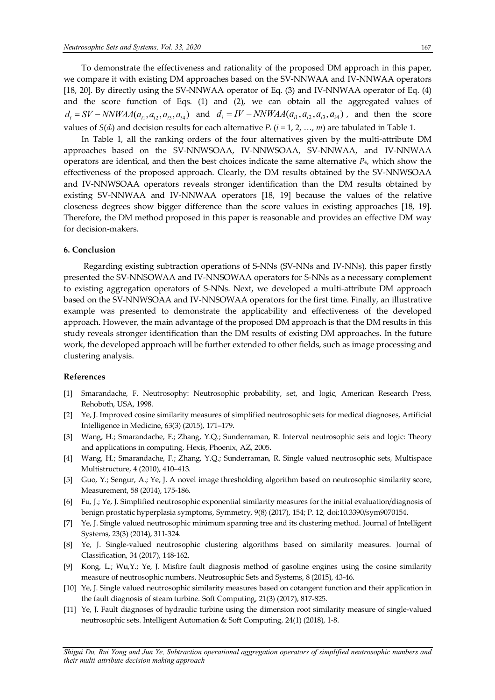To demonstrate the effectiveness and rationality of the proposed DM approach in this paper, we compare it with existing DM approaches based on the SV-NNWAA and IV-NNWAA operators [18, 20]. By directly using the SV-NNWAA operator of Eq. (3) and IV-NNWAA operator of Eq. (4) and the score function of Eqs. (1) and (2), we can obtain all the aggregated values of  $d_i = SV - NNWAA(a_{i1}, a_{i2}, a_{i3}, a_{i4})$  and  $d_i = IV - NNWAA(a_{i1}, a_{i2}, a_{i3}, a_{i4})$ , and then the score values of  $S(d_i)$  and decision results for each alternative  $P_i$  ( $i = 1, 2, ..., m$ ) are tabulated in Table 1.

In Table 1, all the ranking orders of the four alternatives given by the multi-attribute DM approaches based on the SV-NNWSOAA, IV-NNWSOAA, SV-NNWAA, and IV-NNWAA operators are identical, and then the best choices indicate the same alternative *P*4, which show the effectiveness of the proposed approach. Clearly, the DM results obtained by the SV-NNWSOAA and IV-NNWSOAA operators reveals stronger identification than the DM results obtained by existing SV-NNWAA and IV-NNWAA operators [18, 19] because the values of the relative closeness degrees show bigger difference than the score values in existing approaches [18, 19]. Therefore, the DM method proposed in this paper is reasonable and provides an effective DM way for decision-makers.

### **6. Conclusion**

Regarding existing subtraction operations of S-NNs (SV-NNs and IV-NNs), this paper firstly presented the SV-NNSOWAA and IV-NNSOWAA operators for S-NNs as a necessary complement to existing aggregation operators of S-NNs. Next, we developed a multi-attribute DM approach based on the SV-NNWSOAA and IV-NNSOWAA operators for the first time. Finally, an illustrative example was presented to demonstrate the applicability and effectiveness of the developed approach. However, the main advantage of the proposed DM approach is that the DM results in this study reveals stronger identification than the DM results of existing DM approaches. In the future work, the developed approach will be further extended to other fields, such as image processing and clustering analysis.

#### **References**

- [1] Smarandache, F. Neutrosophy: Neutrosophic probability, set, and logic, American Research Press, Rehoboth, USA, 1998.
- [2] Ye, J. Improved cosine similarity measures of simplified neutrosophic sets for medical diagnoses, Artificial Intelligence in Medicine, 63(3) (2015), 171–179.
- [3] Wang, H.; Smarandache, F.; Zhang, Y.Q.; Sunderraman, R. Interval neutrosophic sets and logic: Theory and applications in computing, Hexis, Phoenix, AZ, 2005.
- [4] Wang, H.; Smarandache, F.; Zhang, Y.Q.; Sunderraman, R. Single valued neutrosophic sets, Multispace Multistructure, 4 (2010), 410–413.
- [5] Guo, Y.; Sengur, A.; Ye, J. A novel image thresholding algorithm based on neutrosophic similarity score, Measurement, 58 (2014), 175-186.
- [6] Fu, J.; Ye, J. Simplified neutrosophic exponential similarity measures for the initial evaluation/diagnosis of benign prostatic hyperplasia symptoms, Symmetry, 9(8) (2017), 154; P. 12, doi:10.3390/sym9070154.
- [7] Ye, J. Single valued neutrosophic minimum spanning tree and its clustering method. Journal of Intelligent Systems, 23(3) (2014), 311-324.
- [8] Ye, J. Single-valued neutrosophic clustering algorithms based on similarity measures. Journal of Classification, 34 (2017), 148-162.
- [9] Kong, L.; Wu,Y.; Ye, J. Misfire fault diagnosis method of gasoline engines using the cosine similarity measure of neutrosophic numbers. Neutrosophic Sets and Systems, 8 (2015), 43-46.
- [10] Ye, J. Single valued neutrosophic similarity measures based on cotangent function and their application in the fault diagnosis of steam turbine. Soft Computing, 21(3) (2017), 817-825.
- [11] Ye, J. Fault diagnoses of hydraulic turbine using the dimension root similarity measure of single-valued neutrosophic sets. Intelligent Automation & Soft Computing, 24(1) (2018), 1-8.